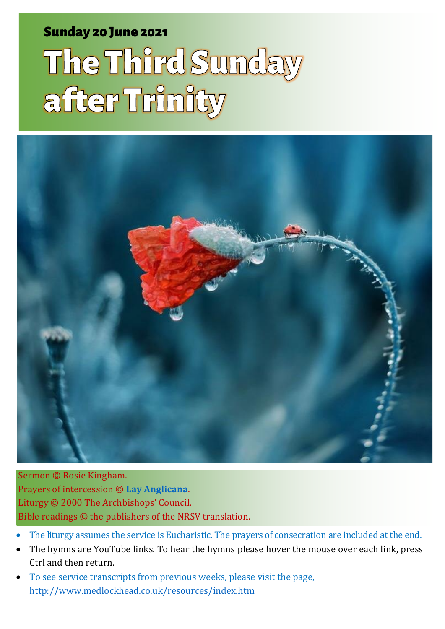### Sunday 20 June 2021 1 **The Third Sunday after Trinity** Sunday 20 June 2021

# The Third Sunday after Trinity



Sermon © Rosie Kingham. Prayers of intercession © **[Lay Anglicana](http://www.layanglicana.org/blog/2015/06/16/intercessions-for-trinity-3-proper-7-year-b-21-june-2015/)**. Liturgy © 2000 The Archbishops' Council. Bible readings © the publishers of the NRSV translation.

- The liturgy assumes the service is Eucharistic. The prayers of consecration are included at the end.
- The hymns are YouTube links. To hear the hymns please hover the mouse over each link, press Ctrl and then return.
- To see service transcripts from previous weeks, please visit the page, <http://www.medlockhead.co.uk/resources/index.htm>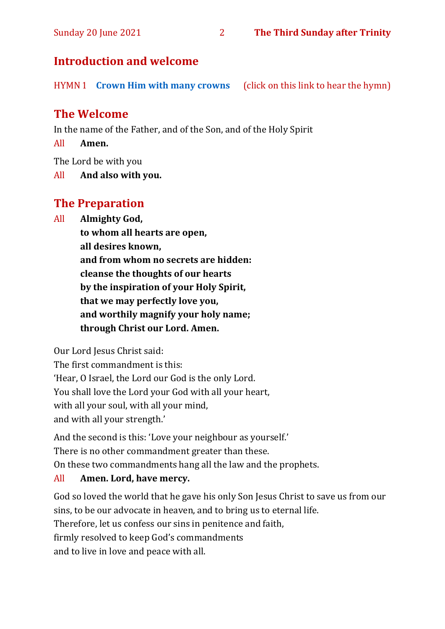#### **Introduction and welcome**

HYMN 1 **[Crown Him with many crowns](https://youtu.be/F8ti2-eoviU)** (click on this link to hear the hymn)

#### **The Welcome**

In the name of the Father, and of the Son, and of the Holy Spirit

All **Amen.**

The Lord be with you

All **And also with you.**

#### **The Preparation**

All **Almighty God,**

**to whom all hearts are open, all desires known, and from whom no secrets are hidden: cleanse the thoughts of our hearts by the inspiration of your Holy Spirit, that we may perfectly love you, and worthily magnify your holy name; through Christ our Lord. Amen.**

Our Lord Jesus Christ said:

The first commandment is this: 'Hear, O Israel, the Lord our God is the only Lord. You shall love the Lord your God with all your heart, with all your soul, with all your mind, and with all your strength.'

And the second is this: 'Love your neighbour as yourself.' There is no other commandment greater than these. On these two commandments hang all the law and the prophets.

#### All **Amen. Lord, have mercy.**

God so loved the world that he gave his only Son Jesus Christ to save us from our sins, to be our advocate in heaven, and to bring us to eternal life. Therefore, let us confess our sins in penitence and faith, firmly resolved to keep God's commandments and to live in love and peace with all.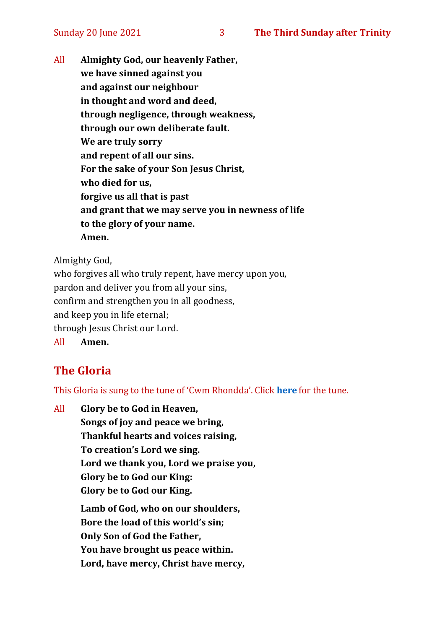All **Almighty God, our heavenly Father, we have sinned against you and against our neighbour in thought and word and deed, through negligence, through weakness, through our own deliberate fault. We are truly sorry and repent of all our sins. For the sake of your Son Jesus Christ, who died for us, forgive us all that is past and grant that we may serve you in newness of life to the glory of your name. Amen.**

Almighty God,

who forgives all who truly repent, have mercy upon you, pardon and deliver you from all your sins, confirm and strengthen you in all goodness, and keep you in life eternal; through Jesus Christ our Lord. All **Amen.**

#### **The Gloria**

This Gloria is sung to the tune of 'Cwm Rhondda'. Click **[here](about:blank)** for the tune.

All **Glory be to God in Heaven, Songs of joy and peace we bring, Thankful hearts and voices raising, To creation's Lord we sing. Lord we thank you, Lord we praise you, Glory be to God our King: Glory be to God our King. Lamb of God, who on our shoulders, Bore the load of this world's sin; Only Son of God the Father, You have brought us peace within.**

**Lord, have mercy, Christ have mercy,**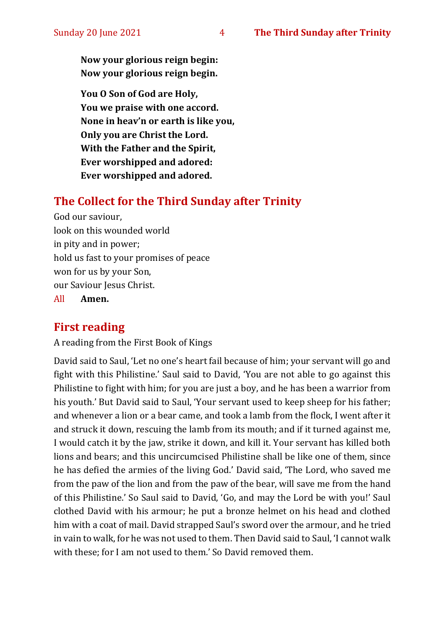**Now your glorious reign begin: Now your glorious reign begin.**

**You O Son of God are Holy, You we praise with one accord. None in heav'n or earth is like you, Only you are Christ the Lord. With the Father and the Spirit, Ever worshipped and adored: Ever worshipped and adored.**

#### **The Collect for the Third Sunday after Trinity**

God our saviour, look on this wounded world in pity and in power; hold us fast to your promises of peace won for us by your Son, our Saviour Jesus Christ.

All **Amen.**

#### **First reading**

A reading from the First Book of Kings

David said to Saul, 'Let no one's heart fail because of him; your servant will go and fight with this Philistine.' Saul said to David, 'You are not able to go against this Philistine to fight with him; for you are just a boy, and he has been a warrior from his youth.' But David said to Saul, 'Your servant used to keep sheep for his father; and whenever a lion or a bear came, and took a lamb from the flock, I went after it and struck it down, rescuing the lamb from its mouth; and if it turned against me, I would catch it by the jaw, strike it down, and kill it. Your servant has killed both lions and bears; and this uncircumcised Philistine shall be like one of them, since he has defied the armies of the living God.' David said, 'The Lord, who saved me from the paw of the lion and from the paw of the bear, will save me from the hand of this Philistine.' So Saul said to David, 'Go, and may the Lord be with you!' Saul clothed David with his armour; he put a bronze helmet on his head and clothed him with a coat of mail. David strapped Saul's sword over the armour, and he tried in vain to walk, for he was not used to them. Then David said to Saul, 'I cannot walk with these; for I am not used to them.' So David removed them.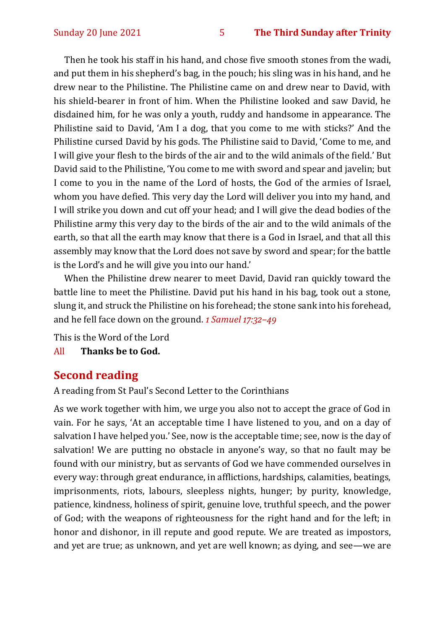Then he took his staff in his hand, and chose five smooth stones from the wadi, and put them in his shepherd's bag, in the pouch; his sling was in his hand, and he drew near to the Philistine. The Philistine came on and drew near to David, with his shield-bearer in front of him. When the Philistine looked and saw David, he disdained him, for he was only a youth, ruddy and handsome in appearance. The Philistine said to David, 'Am I a dog, that you come to me with sticks?' And the Philistine cursed David by his gods. The Philistine said to David, 'Come to me, and I will give your flesh to the birds of the air and to the wild animals of the field.' But David said to the Philistine, 'You come to me with sword and spear and javelin; but I come to you in the name of the Lord of hosts, the God of the armies of Israel, whom you have defied. This very day the Lord will deliver you into my hand, and I will strike you down and cut off your head; and I will give the dead bodies of the Philistine army this very day to the birds of the air and to the wild animals of the earth, so that all the earth may know that there is a God in Israel, and that all this assembly may know that the Lord does not save by sword and spear; for the battle is the Lord's and he will give you into our hand.'

When the Philistine drew nearer to meet David, David ran quickly toward the battle line to meet the Philistine. David put his hand in his bag, took out a stone, slung it, and struck the Philistine on his forehead; the stone sank into his forehead, and he fell face down on the ground. *1 Samuel 17:32–49*

This is the Word of the Lord

All **Thanks be to God.**

#### **Second reading**

A reading from St Paul's Second Letter to the Corinthians

As we work together with him, we urge you also not to accept the grace of God in vain. For he says, 'At an acceptable time I have listened to you, and on a day of salvation I have helped you.' See, now is the acceptable time; see, now is the day of salvation! We are putting no obstacle in anyone's way, so that no fault may be found with our ministry, but as servants of God we have commended ourselves in every way: through great endurance, in afflictions, hardships, calamities, beatings, imprisonments, riots, labours, sleepless nights, hunger; by purity, knowledge, patience, kindness, holiness of spirit, genuine love, truthful speech, and the power of God; with the weapons of righteousness for the right hand and for the left; in honor and dishonor, in ill repute and good repute. We are treated as impostors, and yet are true; as unknown, and yet are well known; as dying, and see—we are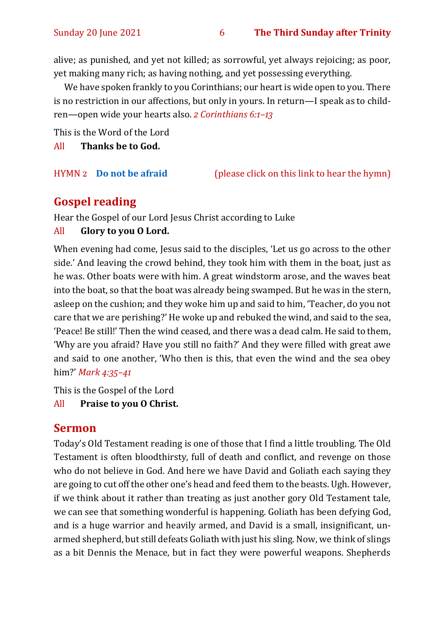alive; as punished, and yet not killed; as sorrowful, yet always rejoicing; as poor, yet making many rich; as having nothing, and yet possessing everything.

We have spoken frankly to you Corinthians; our heart is wide open to you. There is no restriction in our affections, but only in yours. In return—I speak as to children—open wide your hearts also. *2 Corinthians 6:1–13*

This is the Word of the Lord

All **Thanks be to God.**

HYMN 2 **[Do not be afraid](https://www.youtube.com/watch?v=v2rO0LhSWJ0)** (please click on this link to hear the hymn)

#### **Gospel reading**

Hear the Gospel of our Lord Jesus Christ according to Luke

#### All **Glory to you O Lord.**

When evening had come, Jesus said to the disciples, 'Let us go across to the other side.' And leaving the crowd behind, they took him with them in the boat, just as he was. Other boats were with him. A great windstorm arose, and the waves beat into the boat, so that the boat was already being swamped. But he was in the stern, asleep on the cushion; and they woke him up and said to him, 'Teacher, do you not care that we are perishing?' He woke up and rebuked the wind, and said to the sea, 'Peace! Be still!' Then the wind ceased, and there was a dead calm. He said to them, 'Why are you afraid? Have you still no faith?' And they were filled with great awe and said to one another, 'Who then is this, that even the wind and the sea obey him?' *Mark 4:35–41*

This is the Gospel of the Lord

#### All **Praise to you O Christ.**

#### **Sermon**

Today's Old Testament reading is one of those that I find a little troubling. The Old Testament is often bloodthirsty, full of death and conflict, and revenge on those who do not believe in God. And here we have David and Goliath each saying they are going to cut off the other one's head and feed them to the beasts. Ugh. However, if we think about it rather than treating as just another gory Old Testament tale, we can see that something wonderful is happening. Goliath has been defying God, and is a huge warrior and heavily armed, and David is a small, insignificant, unarmed shepherd, but still defeats Goliath with just his sling. Now, we think of slings as a bit Dennis the Menace, but in fact they were powerful weapons. Shepherds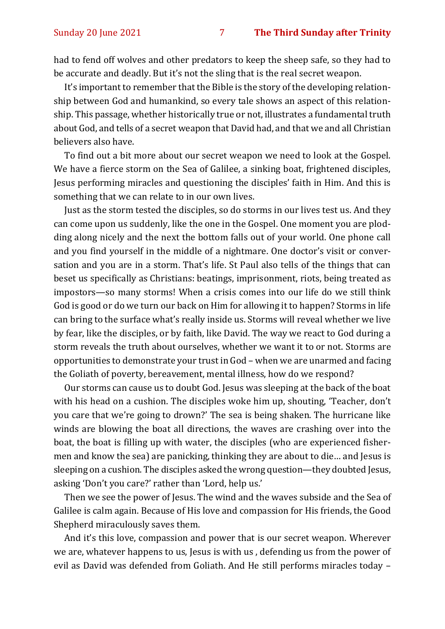had to fend off wolves and other predators to keep the sheep safe, so they had to be accurate and deadly. But it's not the sling that is the real secret weapon.

It's important to remember that the Bible is the story of the developing relationship between God and humankind, so every tale shows an aspect of this relationship. This passage, whether historically true or not, illustrates a fundamental truth about God, and tells of a secret weapon that David had, and that we and all Christian believers also have.

To find out a bit more about our secret weapon we need to look at the Gospel. We have a fierce storm on the Sea of Galilee, a sinking boat, frightened disciples, Jesus performing miracles and questioning the disciples' faith in Him. And this is something that we can relate to in our own lives.

Just as the storm tested the disciples, so do storms in our lives test us. And they can come upon us suddenly, like the one in the Gospel. One moment you are plodding along nicely and the next the bottom falls out of your world. One phone call and you find yourself in the middle of a nightmare. One doctor's visit or conversation and you are in a storm. That's life. St Paul also tells of the things that can beset us specifically as Christians: beatings, imprisonment, riots, being treated as impostors—so many storms! When a crisis comes into our life do we still think God is good or do we turn our back on Him for allowing it to happen? Storms in life can bring to the surface what's really inside us. Storms will reveal whether we live by fear, like the disciples, or by faith, like David. The way we react to God during a storm reveals the truth about ourselves, whether we want it to or not. Storms are opportunities to demonstrate your trust in God – when we are unarmed and facing the Goliath of poverty, bereavement, mental illness, how do we respond?

Our storms can cause us to doubt God. Jesus was sleeping at the back of the boat with his head on a cushion. The disciples woke him up, shouting, 'Teacher, don't you care that we're going to drown?' The sea is being shaken. The hurricane like winds are blowing the boat all directions, the waves are crashing over into the boat, the boat is filling up with water, the disciples (who are experienced fishermen and know the sea) are panicking, thinking they are about to die… and Jesus is sleeping on a cushion. The disciples asked the wrong question—they doubted Jesus, asking 'Don't you care?' rather than 'Lord, help us.'

Then we see the power of Jesus. The wind and the waves subside and the Sea of Galilee is calm again. Because of His love and compassion for His friends, the Good Shepherd miraculously saves them.

And it's this love, compassion and power that is our secret weapon. Wherever we are, whatever happens to us, Jesus is with us , defending us from the power of evil as David was defended from Goliath. And He still performs miracles today –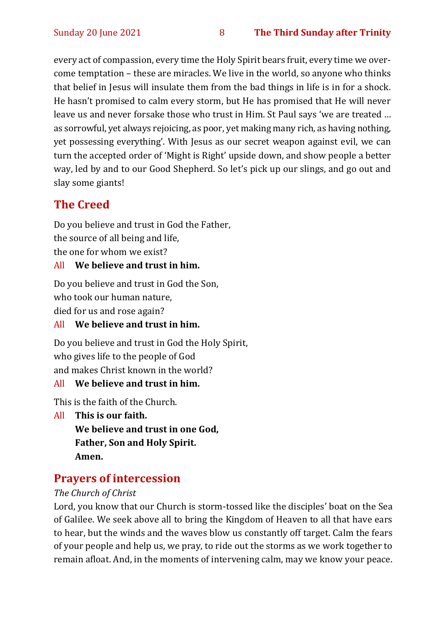every act of compassion, every time the Holy Spirit bears fruit, every time we overcome temptation – these are miracles. We live in the world, so anyone who thinks that belief in Jesus will insulate them from the bad things in life is in for a shock. He hasn't promised to calm every storm, but He has promised that He will never leave us and never forsake those who trust in Him. St Paul says 'we are treated … as sorrowful, yet always rejoicing, as poor, yet making many rich, as having nothing, yet possessing everything'. With Jesus as our secret weapon against evil, we can turn the accepted order of 'Might is Right' upside down, and show people a better way, led by and to our Good Shepherd. So let's pick up our slings, and go out and slay some giants!

#### **The Creed**

Do you believe and trust in God the Father, the source of all being and life, the one for whom we exist?

#### All **We believe and trust in him.**

Do you believe and trust in God the Son, who took our human nature,

died for us and rose again?

#### All **We believe and trust in him.**

Do you believe and trust in God the Holy Spirit, who gives life to the people of God and makes Christ known in the world?

#### All **We believe and trust in him.**

This is the faith of the Church.

All **This is our faith. We believe and trust in one God, Father, Son and Holy Spirit. Amen.**

#### **Prayers of intercession**

#### *The Church of Christ*

Lord, you know that our Church is storm-tossed like the disciples' boat on the Sea of Galilee. We seek above all to bring the Kingdom of Heaven to all that have ears to hear, but the winds and the waves blow us constantly off target. Calm the fears of your people and help us, we pray, to ride out the storms as we work together to remain afloat. And, in the moments of intervening calm, may we know your peace.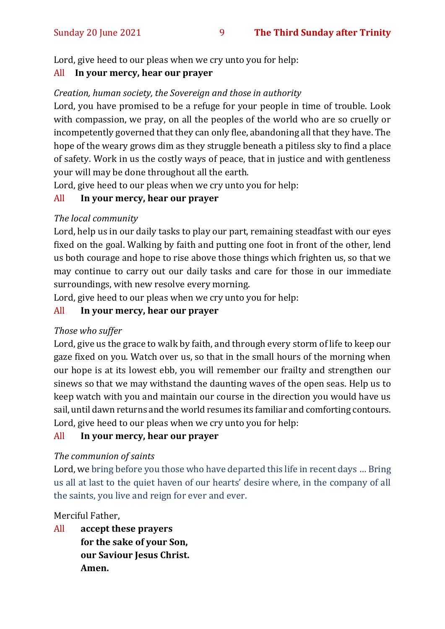Lord, give heed to our pleas when we cry unto you for help:

#### All **In your mercy, hear our prayer**

#### *Creation, human society, the Sovereign and those in authority*

Lord, you have promised to be a refuge for your people in time of trouble. Look with compassion, we pray, on all the peoples of the world who are so cruelly or incompetently governed that they can only flee, abandoning all that they have. The hope of the weary grows dim as they struggle beneath a pitiless sky to find a place of safety. Work in us the costly ways of peace, that in justice and with gentleness your will may be done throughout all the earth.

Lord, give heed to our pleas when we cry unto you for help:

#### All **In your mercy, hear our prayer**

#### *The local community*

Lord, help us in our daily tasks to play our part, remaining steadfast with our eyes fixed on the goal. Walking by faith and putting one foot in front of the other, lend us both courage and hope to rise above those things which frighten us, so that we may continue to carry out our daily tasks and care for those in our immediate surroundings, with new resolve every morning.

Lord, give heed to our pleas when we cry unto you for help:

#### All **In your mercy, hear our prayer**

#### *Those who suffer*

Lord, give us the grace to walk by faith, and through every storm of life to keep our gaze fixed on you. Watch over us, so that in the small hours of the morning when our hope is at its lowest ebb, you will remember our frailty and strengthen our sinews so that we may withstand the daunting waves of the open seas. Help us to keep watch with you and maintain our course in the direction you would have us sail, until dawn returns and the world resumes its familiar and comforting contours. Lord, give heed to our pleas when we cry unto you for help:

#### All **In your mercy, hear our prayer**

#### *The communion of saints*

Lord, we bring before you those who have departed this life in recent days … Bring us all at last to the quiet haven of our hearts' desire where, in the company of all the saints, you live and reign for ever and ever.

#### Merciful Father,

All **accept these prayers for the sake of your Son, our Saviour Jesus Christ. Amen.**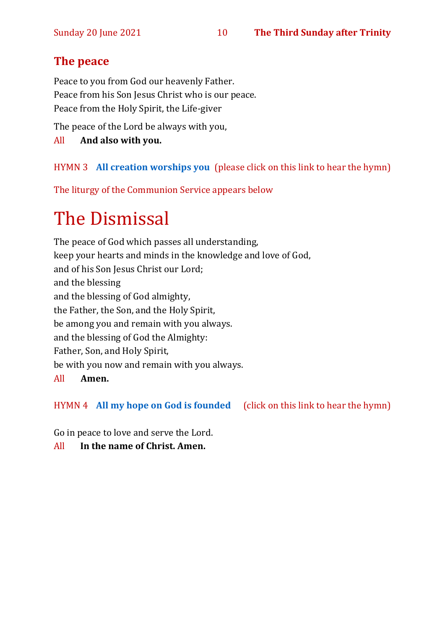#### **The peace**

Peace to you from God our heavenly Father. Peace from his Son Jesus Christ who is our peace. Peace from the Holy Spirit, the Life-giver

The peace of the Lord be always with you,

#### All **And also with you.**

#### HYMN 3 **[All creation worships you](https://www.youtube.com/watch?v=jE6GNhjS34A)** (please click on this link to hear the hymn)

The liturgy of the Communion Service appears below

## The Dismissal

The peace of God which passes all understanding, keep your hearts and minds in the knowledge and love of God, and of his Son Jesus Christ our Lord; and the blessing and the blessing of God almighty, the Father, the Son, and the Holy Spirit, be among you and remain with you always. and the blessing of God the Almighty: Father, Son, and Holy Spirit, be with you now and remain with you always. All **Amen.**

HYMN 4 **[All my hope on God is founded](https://www.youtube.com/watch?v=W3LCGh02Vew)** (click on this link to hear the hymn)

Go in peace to love and serve the Lord.

All **In the name of Christ. Amen.**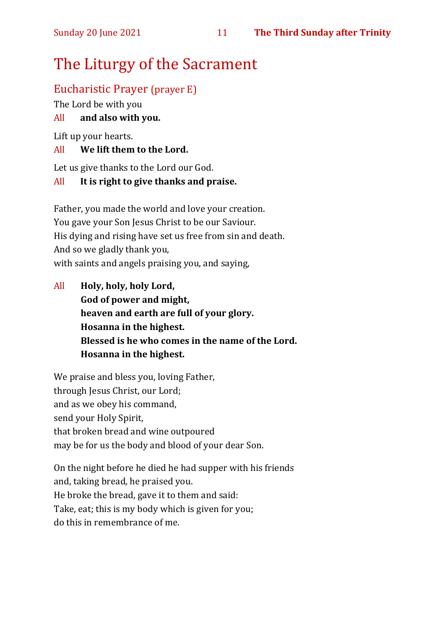## The Liturgy of the Sacrament

#### Eucharistic Prayer (prayer E)

The Lord be with you

#### All **and also with you.**

Lift up your hearts.

#### All **We lift them to the Lord.**

Let us give thanks to the Lord our God.

#### All **It is right to give thanks and praise.**

Father, you made the world and love your creation. You gave your Son Jesus Christ to be our Saviour. His dying and rising have set us free from sin and death. And so we gladly thank you, with saints and angels praising you, and saying,

All **Holy, holy, holy Lord, God of power and might, heaven and earth are full of your glory. Hosanna in the highest. Blessed is he who comes in the name of the Lord. Hosanna in the highest.**

We praise and bless you, loving Father, through Jesus Christ, our Lord; and as we obey his command, send your Holy Spirit, that broken bread and wine outpoured may be for us the body and blood of your dear Son.

On the night before he died he had supper with his friends and, taking bread, he praised you. He broke the bread, gave it to them and said: Take, eat; this is my body which is given for you; do this in remembrance of me.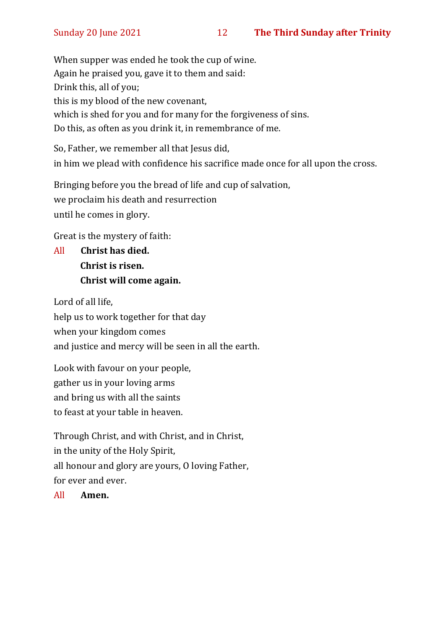When supper was ended he took the cup of wine. Again he praised you, gave it to them and said: Drink this, all of you; this is my blood of the new covenant, which is shed for you and for many for the forgiveness of sins. Do this, as often as you drink it, in remembrance of me.

So, Father, we remember all that Jesus did, in him we plead with confidence his sacrifice made once for all upon the cross.

Bringing before you the bread of life and cup of salvation, we proclaim his death and resurrection until he comes in glory.

Great is the mystery of faith:

All **Christ has died. Christ is risen. Christ will come again.**

Lord of all life,

help us to work together for that day when your kingdom comes

and justice and mercy will be seen in all the earth.

Look with favour on your people, gather us in your loving arms and bring us with all the saints to feast at your table in heaven.

Through Christ, and with Christ, and in Christ, in the unity of the Holy Spirit, all honour and glory are yours, O loving Father, for ever and ever.

All **Amen.**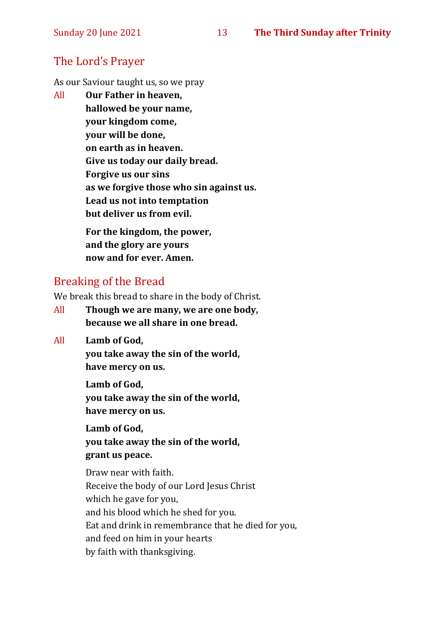#### The Lord's Prayer

As our Saviour taught us, so we pray

All **Our Father in heaven, hallowed be your name, your kingdom come, your will be done, on earth as in heaven. Give us today our daily bread. Forgive us our sins as we forgive those who sin against us. Lead us not into temptation but deliver us from evil. For the kingdom, the power,** 

**and the glory are yours now and for ever. Amen.**

#### Breaking of the Bread

We break this bread to share in the body of Christ.

- All **Though we are many, we are one body, because we all share in one bread.**
- All **Lamb of God,**

**you take away the sin of the world, have mercy on us.**

**Lamb of God, you take away the sin of the world, have mercy on us.**

**Lamb of God, you take away the sin of the world, grant us peace.**

Draw near with faith. Receive the body of our Lord Jesus Christ which he gave for you, and his blood which he shed for you. Eat and drink in remembrance that he died for you, and feed on him in your hearts by faith with thanksgiving.